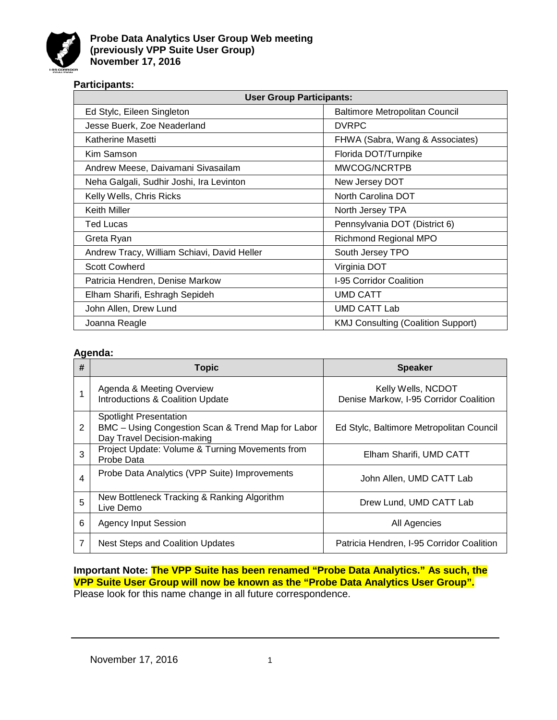

## **Participants:**

| <b>User Group Participants:</b>             |                                           |  |  |  |
|---------------------------------------------|-------------------------------------------|--|--|--|
| Ed Stylc, Eileen Singleton                  | <b>Baltimore Metropolitan Council</b>     |  |  |  |
| Jesse Buerk, Zoe Neaderland                 | <b>DVRPC</b>                              |  |  |  |
| Katherine Masetti                           | FHWA (Sabra, Wang & Associates)           |  |  |  |
| Kim Samson                                  | Florida DOT/Turnpike                      |  |  |  |
| Andrew Meese, Daivamani Sivasailam          | MWCOG/NCRTPB                              |  |  |  |
| Neha Galgali, Sudhir Joshi, Ira Levinton    | New Jersey DOT                            |  |  |  |
| Kelly Wells, Chris Ricks                    | North Carolina DOT                        |  |  |  |
| <b>Keith Miller</b>                         | North Jersey TPA                          |  |  |  |
| <b>Ted Lucas</b>                            | Pennsylvania DOT (District 6)             |  |  |  |
| Greta Ryan                                  | <b>Richmond Regional MPO</b>              |  |  |  |
| Andrew Tracy, William Schiavi, David Heller | South Jersey TPO                          |  |  |  |
| <b>Scott Cowherd</b>                        | Virginia DOT                              |  |  |  |
| Patricia Hendren, Denise Markow             | I-95 Corridor Coalition                   |  |  |  |
| Elham Sharifi, Eshragh Sepideh              | <b>UMD CATT</b>                           |  |  |  |
| John Allen, Drew Lund                       | <b>UMD CATT Lab</b>                       |  |  |  |
| Joanna Reagle                               | <b>KMJ Consulting (Coalition Support)</b> |  |  |  |

## **Agenda:**

| # | <b>Topic</b>                                                                                              | <b>Speaker</b>                                               |  |
|---|-----------------------------------------------------------------------------------------------------------|--------------------------------------------------------------|--|
|   | Agenda & Meeting Overview<br><b>Introductions &amp; Coalition Update</b>                                  | Kelly Wells, NCDOT<br>Denise Markow, I-95 Corridor Coalition |  |
| 2 | Spotlight Presentation<br>BMC - Using Congestion Scan & Trend Map for Labor<br>Day Travel Decision-making | Ed Stylc, Baltimore Metropolitan Council                     |  |
| 3 | Project Update: Volume & Turning Movements from<br>Probe Data                                             | Elham Sharifi, UMD CATT                                      |  |
| 4 | Probe Data Analytics (VPP Suite) Improvements                                                             | John Allen, UMD CATT Lab                                     |  |
| 5 | New Bottleneck Tracking & Ranking Algorithm<br>Live Demo                                                  | Drew Lund, UMD CATT Lab                                      |  |
| 6 | <b>Agency Input Session</b>                                                                               | All Agencies                                                 |  |
| 7 | <b>Nest Steps and Coalition Updates</b>                                                                   | Patricia Hendren, I-95 Corridor Coalition                    |  |

**Important Note: The VPP Suite has been renamed "Probe Data Analytics." As such, the VPP Suite User Group will now be known as the "Probe Data Analytics User Group".**  Please look for this name change in all future correspondence.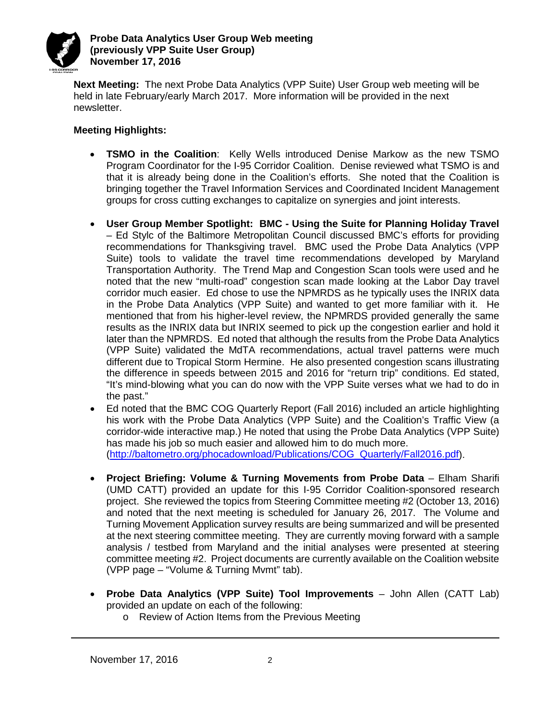

**Next Meeting:** The next Probe Data Analytics (VPP Suite) User Group web meeting will be held in late February/early March 2017. More information will be provided in the next newsletter.

# **Meeting Highlights:**

- **TSMO in the Coalition**: Kelly Wells introduced Denise Markow as the new TSMO Program Coordinator for the I-95 Corridor Coalition. Denise reviewed what TSMO is and that it is already being done in the Coalition's efforts. She noted that the Coalition is bringing together the Travel Information Services and Coordinated Incident Management groups for cross cutting exchanges to capitalize on synergies and joint interests.
- **User Group Member Spotlight: BMC - Using the Suite for Planning Holiday Travel**  – Ed Stylc of the Baltimore Metropolitan Council discussed BMC's efforts for providing recommendations for Thanksgiving travel. BMC used the Probe Data Analytics (VPP Suite) tools to validate the travel time recommendations developed by Maryland Transportation Authority. The Trend Map and Congestion Scan tools were used and he noted that the new "multi-road" congestion scan made looking at the Labor Day travel corridor much easier. Ed chose to use the NPMRDS as he typically uses the INRIX data in the Probe Data Analytics (VPP Suite) and wanted to get more familiar with it. He mentioned that from his higher-level review, the NPMRDS provided generally the same results as the INRIX data but INRIX seemed to pick up the congestion earlier and hold it later than the NPMRDS. Ed noted that although the results from the Probe Data Analytics (VPP Suite) validated the MdTA recommendations, actual travel patterns were much different due to Tropical Storm Hermine. He also presented congestion scans illustrating the difference in speeds between 2015 and 2016 for "return trip" conditions. Ed stated, "It's mind-blowing what you can do now with the VPP Suite verses what we had to do in the past."
- Ed noted that the BMC COG Quarterly Report (Fall 2016) included an article highlighting his work with the Probe Data Analytics (VPP Suite) and the Coalition's Traffic View (a corridor-wide interactive map.) He noted that using the Probe Data Analytics (VPP Suite) has made his job so much easier and allowed him to do much more. [\(http://baltometro.org/phocadownload/Publications/COG\\_Quarterly/Fall2016.pdf\)](http://baltometro.org/phocadownload/Publications/COG_Quarterly/Fall2016.pdf).
- **Project Briefing: Volume & Turning Movements from Probe Data** Elham Sharifi (UMD CATT) provided an update for this I-95 Corridor Coalition-sponsored research project. She reviewed the topics from Steering Committee meeting #2 (October 13, 2016) and noted that the next meeting is scheduled for January 26, 2017. The Volume and Turning Movement Application survey results are being summarized and will be presented at the next steering committee meeting. They are currently moving forward with a sample analysis / testbed from Maryland and the initial analyses were presented at steering committee meeting #2. Project documents are currently available on the Coalition website (VPP page – "Volume & Turning Mvmt" tab).
- **Probe Data Analytics (VPP Suite) Tool Improvements**  John Allen (CATT Lab) provided an update on each of the following:
	- o Review of Action Items from the Previous Meeting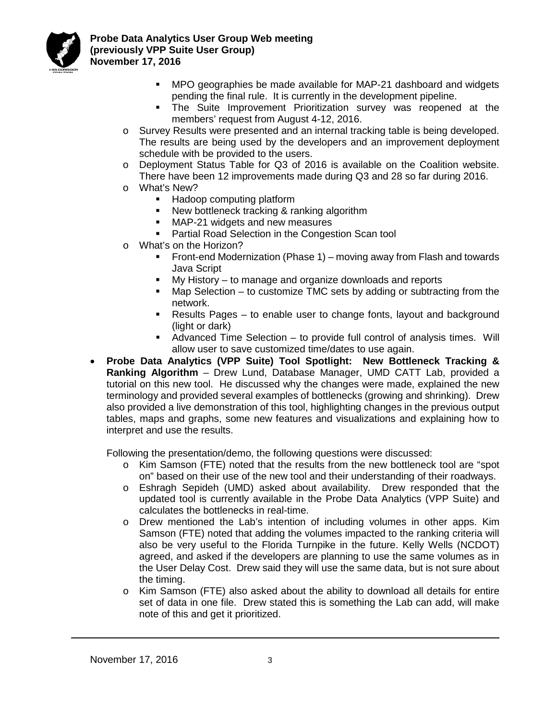

**Probe Data Analytics User Group Web meeting (previously VPP Suite User Group) November 17, 2016**

- MPO geographies be made available for MAP-21 dashboard and widgets pending the final rule. It is currently in the development pipeline.
- The Suite Improvement Prioritization survey was reopened at the members' request from August 4-12, 2016.
- o Survey Results were presented and an internal tracking table is being developed. The results are being used by the developers and an improvement deployment schedule with be provided to the users.
- o Deployment Status Table for Q3 of 2016 is available on the Coalition website. There have been 12 improvements made during Q3 and 28 so far during 2016.
- o What's New?
	- **Hadoop computing platform**
	- New bottleneck tracking & ranking algorithm
	- **MAP-21 widgets and new measures**
	- Partial Road Selection in the Congestion Scan tool
- o What's on the Horizon?
	- Front-end Modernization (Phase 1) moving away from Flash and towards Java Script
	- My History to manage and organize downloads and reports
	- Map Selection to customize TMC sets by adding or subtracting from the network.
	- Results Pages to enable user to change fonts, layout and background (light or dark)
	- Advanced Time Selection to provide full control of analysis times. Will allow user to save customized time/dates to use again.
- **Probe Data Analytics (VPP Suite) Tool Spotlight: New Bottleneck Tracking & Ranking Algorithm** – Drew Lund, Database Manager, UMD CATT Lab, provided a tutorial on this new tool. He discussed why the changes were made, explained the new terminology and provided several examples of bottlenecks (growing and shrinking). Drew also provided a live demonstration of this tool, highlighting changes in the previous output tables, maps and graphs, some new features and visualizations and explaining how to interpret and use the results.

Following the presentation/demo, the following questions were discussed:

- o Kim Samson (FTE) noted that the results from the new bottleneck tool are "spot on" based on their use of the new tool and their understanding of their roadways.
- o Eshragh Sepideh (UMD) asked about availability. Drew responded that the updated tool is currently available in the Probe Data Analytics (VPP Suite) and calculates the bottlenecks in real-time.
- o Drew mentioned the Lab's intention of including volumes in other apps. Kim Samson (FTE) noted that adding the volumes impacted to the ranking criteria will also be very useful to the Florida Turnpike in the future. Kelly Wells (NCDOT) agreed, and asked if the developers are planning to use the same volumes as in the User Delay Cost. Drew said they will use the same data, but is not sure about the timing.
- $\circ$  Kim Samson (FTE) also asked about the ability to download all details for entire set of data in one file. Drew stated this is something the Lab can add, will make note of this and get it prioritized.